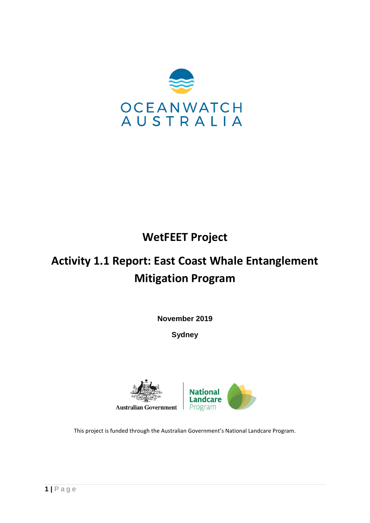

# **WetFEET Project**

# **Activity 1.1 Report: East Coast Whale Entanglement Mitigation Program**

**November 2019**

**Sydney**





This project is funded through the Australian Government's National Landcare Program.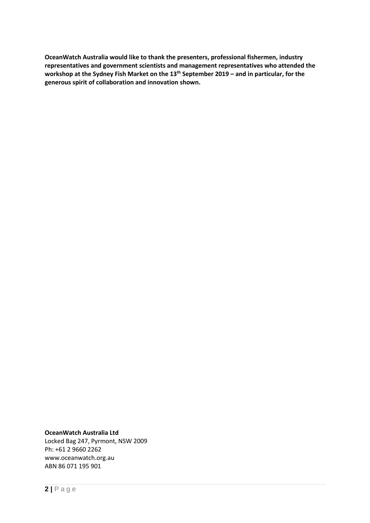**OceanWatch Australia would like to thank the presenters, professional fishermen, industry representatives and government scientists and management representatives who attended the workshop at the Sydney Fish Market on the 13th September 2019 – and in particular, for the generous spirit of collaboration and innovation shown.** 

**OceanWatch Australia Ltd**

Locked Bag 247, Pyrmont, NSW 2009 Ph: +61 2 9660 2262 www.oceanwatch.org.au ABN 86 071 195 901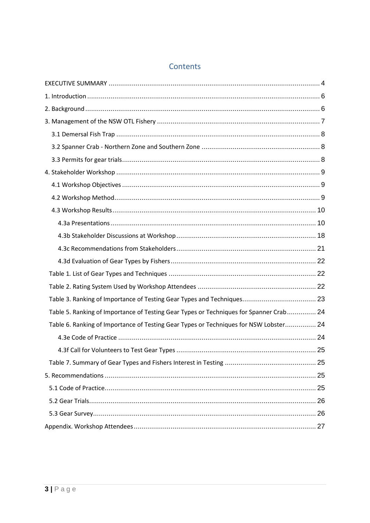# Contents

| Table 5. Ranking of Importance of Testing Gear Types or Techniques for Spanner Crab 24 |  |
|----------------------------------------------------------------------------------------|--|
| Table 6. Ranking of Importance of Testing Gear Types or Techniques for NSW Lobster 24  |  |
|                                                                                        |  |
|                                                                                        |  |
|                                                                                        |  |
|                                                                                        |  |
|                                                                                        |  |
|                                                                                        |  |
|                                                                                        |  |
|                                                                                        |  |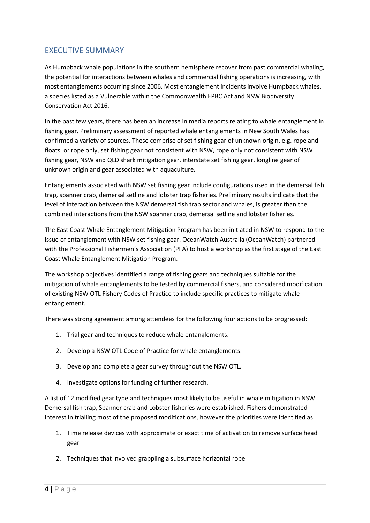# <span id="page-3-0"></span>EXECUTIVE SUMMARY

As Humpback whale populations in the southern hemisphere recover from past commercial whaling, the potential for interactions between whales and commercial fishing operations is increasing, with most entanglements occurring since 2006. Most entanglement incidents involve Humpback whales, a species listed as a Vulnerable within the Commonwealth EPBC Act and NSW Biodiversity Conservation Act 2016.

In the past few years, there has been an increase in media reports relating to whale entanglement in fishing gear. Preliminary assessment of reported whale entanglements in New South Wales has confirmed a variety of sources. These comprise of set fishing gear of unknown origin, e.g. rope and floats, or rope only, set fishing gear not consistent with NSW, rope only not consistent with NSW fishing gear, NSW and QLD shark mitigation gear, interstate set fishing gear, longline gear of unknown origin and gear associated with aquaculture.

Entanglements associated with NSW set fishing gear include configurations used in the demersal fish trap, spanner crab, demersal setline and lobster trap fisheries. Preliminary results indicate that the level of interaction between the NSW demersal fish trap sector and whales, is greater than the combined interactions from the NSW spanner crab, demersal setline and lobster fisheries.

The East Coast Whale Entanglement Mitigation Program has been initiated in NSW to respond to the issue of entanglement with NSW set fishing gear. OceanWatch Australia (OceanWatch) partnered with the Professional Fishermen's Association (PFA) to host a workshop as the first stage of the East Coast Whale Entanglement Mitigation Program.

The workshop objectives identified a range of fishing gears and techniques suitable for the mitigation of whale entanglements to be tested by commercial fishers, and considered modification of existing NSW OTL Fishery Codes of Practice to include specific practices to mitigate whale entanglement.

There was strong agreement among attendees for the following four actions to be progressed:

- 1. Trial gear and techniques to reduce whale entanglements.
- 2. Develop a NSW OTL Code of Practice for whale entanglements.
- 3. Develop and complete a gear survey throughout the NSW OTL.
- 4. Investigate options for funding of further research.

A list of 12 modified gear type and techniques most likely to be useful in whale mitigation in NSW Demersal fish trap, Spanner crab and Lobster fisheries were established. Fishers demonstrated interest in trialling most of the proposed modifications, however the priorities were identified as:

- 1. Time release devices with approximate or exact time of activation to remove surface head gear
- 2. Techniques that involved grappling a subsurface horizontal rope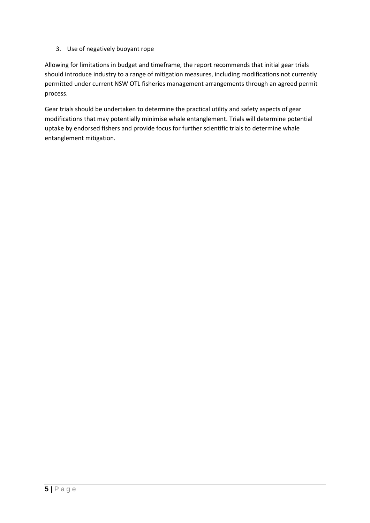## 3. Use of negatively buoyant rope

Allowing for limitations in budget and timeframe, the report recommends that initial gear trials should introduce industry to a range of mitigation measures, including modifications not currently permitted under current NSW OTL fisheries management arrangements through an agreed permit process.

Gear trials should be undertaken to determine the practical utility and safety aspects of gear modifications that may potentially minimise whale entanglement. Trials will determine potential uptake by endorsed fishers and provide focus for further scientific trials to determine whale entanglement mitigation.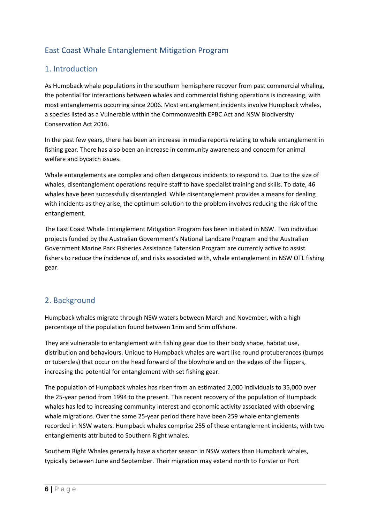# East Coast Whale Entanglement Mitigation Program

# <span id="page-5-0"></span>1. Introduction

As Humpback whale populations in the southern hemisphere recover from past commercial whaling, the potential for interactions between whales and commercial fishing operations is increasing, with most entanglements occurring since 2006. Most entanglement incidents involve Humpback whales, a species listed as a Vulnerable within the Commonwealth EPBC Act and NSW Biodiversity Conservation Act 2016.

In the past few years, there has been an increase in media reports relating to whale entanglement in fishing gear. There has also been an increase in community awareness and concern for animal welfare and bycatch issues.

Whale entanglements are complex and often dangerous incidents to respond to. Due to the size of whales, disentanglement operations require staff to have specialist training and skills. To date, 46 whales have been successfully disentangled. While disentanglement provides a means for dealing with incidents as they arise, the optimum solution to the problem involves reducing the risk of the entanglement.

The East Coast Whale Entanglement Mitigation Program has been initiated in NSW. Two individual projects funded by the Australian Government's National Landcare Program and the Australian Government Marine Park Fisheries Assistance Extension Program are currently active to assist fishers to reduce the incidence of, and risks associated with, whale entanglement in NSW OTL fishing gear.

# <span id="page-5-1"></span>2. Background

Humpback whales migrate through NSW waters between March and November, with a high percentage of the population found between 1nm and 5nm offshore.

They are vulnerable to entanglement with fishing gear due to their body shape, habitat use, distribution and behaviours. Unique to Humpback whales are wart like round protuberances (bumps or tubercles) that occur on the head forward of the blowhole and on the edges of the flippers, increasing the potential for entanglement with set fishing gear.

The population of Humpback whales has risen from an estimated 2,000 individuals to 35,000 over the 25-year period from 1994 to the present. This recent recovery of the population of Humpback whales has led to increasing community interest and economic activity associated with observing whale migrations. Over the same 25-year period there have been 259 whale entanglements recorded in NSW waters. Humpback whales comprise 255 of these entanglement incidents, with two entanglements attributed to Southern Right whales.

Southern Right Whales generally have a shorter season in NSW waters than Humpback whales, typically between June and September. Their migration may extend north to Forster or Port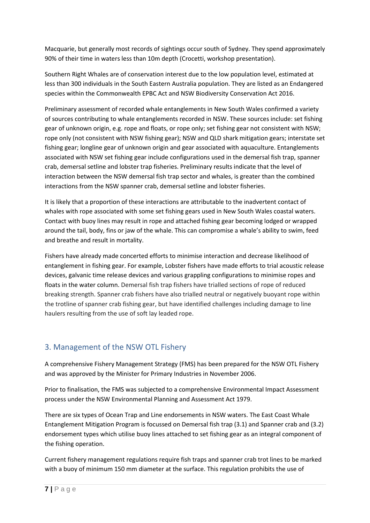Macquarie, but generally most records of sightings occur south of Sydney. They spend approximately 90% of their time in waters less than 10m depth (Crocetti, workshop presentation).

Southern Right Whales are of conservation interest due to the low population level, estimated at less than 300 individuals in the South Eastern Australia population. They are listed as an Endangered species within the Commonwealth EPBC Act and NSW Biodiversity Conservation Act 2016.

Preliminary assessment of recorded whale entanglements in New South Wales confirmed a variety of sources contributing to whale entanglements recorded in NSW. These sources include: set fishing gear of unknown origin, e.g. rope and floats, or rope only; set fishing gear not consistent with NSW; rope only (not consistent with NSW fishing gear); NSW and QLD shark mitigation gears; interstate set fishing gear; longline gear of unknown origin and gear associated with aquaculture. Entanglements associated with NSW set fishing gear include configurations used in the demersal fish trap, spanner crab, demersal setline and lobster trap fisheries. Preliminary results indicate that the level of interaction between the NSW demersal fish trap sector and whales, is greater than the combined interactions from the NSW spanner crab, demersal setline and lobster fisheries.

It is likely that a proportion of these interactions are attributable to the inadvertent contact of whales with rope associated with some set fishing gears used in New South Wales coastal waters. Contact with buoy lines may result in rope and attached fishing gear becoming lodged or wrapped around the tail, body, fins or jaw of the whale. This can compromise a whale's ability to swim, feed and breathe and result in mortality.

Fishers have already made concerted efforts to minimise interaction and decrease likelihood of entanglement in fishing gear. For example, Lobster fishers have made efforts to trial acoustic release devices, galvanic time release devices and various grappling configurations to minimise ropes and floats in the water column. Demersal fish trap fishers have trialled sections of rope of reduced breaking strength. Spanner crab fishers have also trialled neutral or negatively buoyant rope within the trotline of spanner crab fishing gear, but have identified challenges including damage to line haulers resulting from the use of soft lay leaded rope.

# <span id="page-6-0"></span>3. Management of the NSW OTL Fishery

A comprehensive Fishery Management Strategy (FMS) has been prepared for the NSW OTL Fishery and was approved by the Minister for Primary Industries in November 2006.

Prior to finalisation, the FMS was subjected to a comprehensive Environmental Impact Assessment process under the NSW Environmental Planning and Assessment Act 1979.

There are six types of Ocean Trap and Line endorsements in NSW waters. The East Coast Whale Entanglement Mitigation Program is focussed on Demersal fish trap (3.1) and Spanner crab and (3.2) endorsement types which utilise buoy lines attached to set fishing gear as an integral component of the fishing operation.

Current fishery management regulations require fish traps and spanner crab trot lines to be marked with a buoy of minimum 150 mm diameter at the surface. This regulation prohibits the use of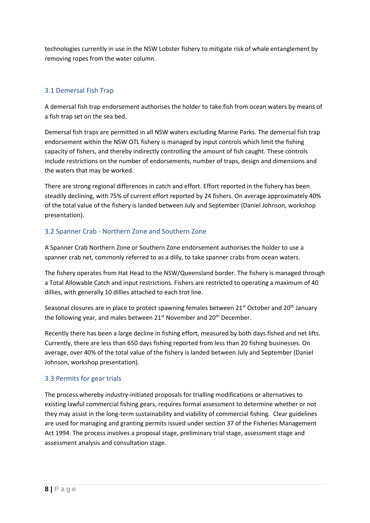technologies currently in use in the NSW Lobster fishery to mitigate risk of whale entanglement by removing ropes from the water column.

# <span id="page-7-0"></span>3.1 Demersal Fish Trap

A demersal fish trap endorsement authorises the holder to take fish from ocean waters by means of a fish trap set on the sea bed.

Demersal fish traps are permitted in all NSW waters excluding Marine Parks. The demersal fish trap endorsement within the NSW OTL fishery is managed by input controls which limit the fishing capacity of fishers, and thereby indirectly controlling the amount of fish caught. These controls include restrictions on the number of endorsements, number of traps, design and dimensions and the waters that may be worked.

There are strong regional differences in catch and effort. Effort reported in the fishery has been steadily declining, with 75% of current effort reported by 24 fishers. On average approximately 40% of the total value of the fishery is landed between July and September (Daniel Johnson, workshop presentation).

## <span id="page-7-1"></span>3.2 Spanner Crab - Northern Zone and Southern Zone

A Spanner Crab Northern Zone or Southern Zone endorsement authorises the holder to use a spanner crab net, commonly referred to as a dilly, to take spanner crabs from ocean waters.

The fishery operates from Hat Head to the NSW/Queensland border. The fishery is managed through a Total Allowable Catch and input restrictions. Fishers are restricted to operating a maximum of 40 dillies, with generally 10 dillies attached to each trot line.

Seasonal closures are in place to protect spawning females between 21<sup>st</sup> October and 20<sup>th</sup> January the following year, and males between 21<sup>st</sup> November and 20<sup>th</sup> December.

Recently there has been a large decline in fishing effort, measured by both days fished and net lifts. Currently, there are less than 650 days fishing reported from less than 20 fishing businesses. On average, over 40% of the total value of the fishery is landed between July and September (Daniel Johnson, workshop presentation).

## <span id="page-7-2"></span>3.3 Permits for gear trials

The process whereby industry-initiated proposals for trialling modifications or alternatives to existing lawful commercial fishing gears, requires formal assessment to determine whether or not they may assist in the long-term sustainability and viability of commercial fishing. Clear guidelines are used for managing and granting permits issued under section 37 of the Fisheries Management Act 1994. The process involves a proposal stage, preliminary trial stage, assessment stage and assessment analysis and consultation stage.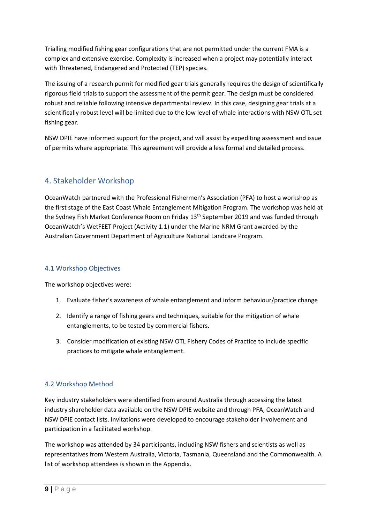Trialling modified fishing gear configurations that are not permitted under the current FMA is a complex and extensive exercise. Complexity is increased when a project may potentially interact with Threatened, Endangered and Protected (TEP) species.

The issuing of a research permit for modified gear trials generally requires the design of scientifically rigorous field trials to support the assessment of the permit gear. The design must be considered robust and reliable following intensive departmental review. In this case, designing gear trials at a scientifically robust level will be limited due to the low level of whale interactions with NSW OTL set fishing gear.

NSW DPIE have informed support for the project, and will assist by expediting assessment and issue of permits where appropriate. This agreement will provide a less formal and detailed process.

# <span id="page-8-0"></span>4. Stakeholder Workshop

OceanWatch partnered with the Professional Fishermen's Association (PFA) to host a workshop as the first stage of the East Coast Whale Entanglement Mitigation Program. The workshop was held at the Sydney Fish Market Conference Room on Friday 13<sup>th</sup> September 2019 and was funded through OceanWatch's WetFEET Project (Activity 1.1) under the Marine NRM Grant awarded by the Australian Government Department of Agriculture National Landcare Program.

## <span id="page-8-1"></span>4.1 Workshop Objectives

The workshop objectives were:

- 1. Evaluate fisher's awareness of whale entanglement and inform behaviour/practice change
- 2. Identify a range of fishing gears and techniques, suitable for the mitigation of whale entanglements, to be tested by commercial fishers.
- 3. Consider modification of existing NSW OTL Fishery Codes of Practice to include specific practices to mitigate whale entanglement.

## 4.2 Workshop Method

Key industry stakeholders were identified from around Australia through accessing the latest industry shareholder data available on the NSW DPIE website and through PFA, OceanWatch and NSW DPIE contact lists. Invitations were developed to encourage stakeholder involvement and participation in a facilitated workshop.

The workshop was attended by 34 participants, including NSW fishers and scientists as well as representatives from Western Australia, Victoria, Tasmania, Queensland and the Commonwealth. A list of workshop attendees is shown in the Appendix.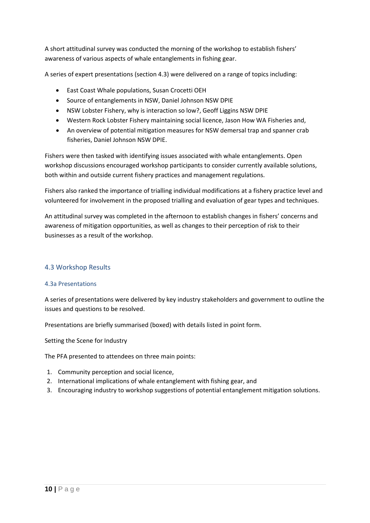A short attitudinal survey was conducted the morning of the workshop to establish fishers' awareness of various aspects of whale entanglements in fishing gear.

A series of expert presentations (section 4.3) were delivered on a range of topics including:

- East Coast Whale populations, Susan Crocetti OEH
- Source of entanglements in NSW, Daniel Johnson NSW DPIE
- NSW Lobster Fishery, why is interaction so low?, Geoff Liggins NSW DPIE
- Western Rock Lobster Fishery maintaining social licence, Jason How WA Fisheries and,
- An overview of potential mitigation measures for NSW demersal trap and spanner crab fisheries, Daniel Johnson NSW DPIE.

Fishers were then tasked with identifying issues associated with whale entanglements. Open workshop discussions encouraged workshop participants to consider currently available solutions, both within and outside current fishery practices and management regulations.

Fishers also ranked the importance of trialling individual modifications at a fishery practice level and volunteered for involvement in the proposed trialling and evaluation of gear types and techniques.

An attitudinal survey was completed in the afternoon to establish changes in fishers' concerns and awareness of mitigation opportunities, as well as changes to their perception of risk to their businesses as a result of the workshop.

#### <span id="page-9-0"></span>4.3 Workshop Results

#### <span id="page-9-1"></span>4.3a Presentations

A series of presentations were delivered by key industry stakeholders and government to outline the issues and questions to be resolved.

Presentations are briefly summarised (boxed) with details listed in point form.

Setting the Scene for Industry

The PFA presented to attendees on three main points:

- 1. Community perception and social licence,
- 2. International implications of whale entanglement with fishing gear, and
- 3. Encouraging industry to workshop suggestions of potential entanglement mitigation solutions.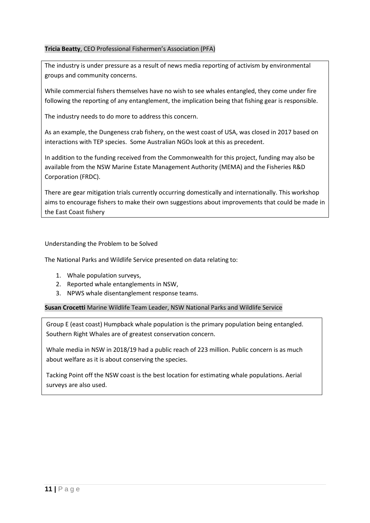#### **Tricia Beatty**, CEO Professional Fishermen's Association (PFA)

The industry is under pressure as a result of news media reporting of activism by environmental groups and community concerns.

While commercial fishers themselves have no wish to see whales entangled, they come under fire following the reporting of any entanglement, the implication being that fishing gear is responsible.

The industry needs to do more to address this concern.

As an example, the Dungeness crab fishery, on the west coast of USA, was closed in 2017 based on interactions with TEP species. Some Australian NGOs look at this as precedent.

In addition to the funding received from the Commonwealth for this project, funding may also be available from the NSW Marine Estate Management Authority (MEMA) and the Fisheries R&D Corporation (FRDC).

There are gear mitigation trials currently occurring domestically and internationally. This workshop aims to encourage fishers to make their own suggestions about improvements that could be made in the East Coast fishery

#### Understanding the Problem to be Solved

The National Parks and Wildlife Service presented on data relating to:

- 1. Whale population surveys,
- 2. Reported whale entanglements in NSW,
- 3. NPWS whale disentanglement response teams.

**Susan Crocetti** Marine Wildlife Team Leader, NSW National Parks and Wildlife Service

Group E (east coast) Humpback whale population is the primary population being entangled. Southern Right Whales are of greatest conservation concern.

Whale media in NSW in 2018/19 had a public reach of 223 million. Public concern is as much about welfare as it is about conserving the species.

Tacking Point off the NSW coast is the best location for estimating whale populations. Aerial surveys are also used.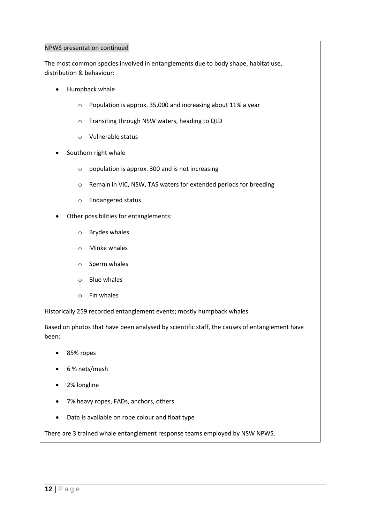#### NPWS presentation continued

The most common species involved in entanglements due to body shape, habitat use, distribution & behaviour:

- Humpback whale
	- o Population is approx. 35,000 and increasing about 11% a year
	- o Transiting through NSW waters, heading to QLD
	- o Vulnerable status
- Southern right whale
	- o population is approx. 300 and is not increasing
	- o Remain in VIC, NSW, TAS waters for extended periods for breeding
	- o Endangered status
- Other possibilities for entanglements:
	- o Brydes whales
	- o Minke whales
	- o Sperm whales
	- o Blue whales
	- o Fin whales

Historically 259 recorded entanglement events; mostly humpback whales.

Based on photos that have been analysed by scientific staff, the causes of entanglement have been:

- 85% ropes
- 6 % nets/mesh
- 2% longline
- 7% heavy ropes, FADs, anchors, others
- Data is available on rope colour and float type

There are 3 trained whale entanglement response teams employed by NSW NPWS.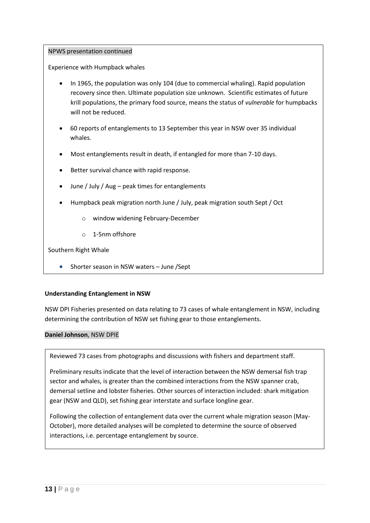#### NPWS presentation continued

Experience with Humpback whales

- In 1965, the population was only 104 (due to commercial whaling). Rapid population recovery since then. Ultimate population size unknown. Scientific estimates of future krill populations, the primary food source, means the status of *vulnerable* for humpbacks will not be reduced.
- 60 reports of entanglements to 13 September this year in NSW over 35 individual whales.
- Most entanglements result in death, if entangled for more than 7-10 days.
- Better survival chance with rapid response.
- June / July / Aug peak times for entanglements
- Humpback peak migration north June / July, peak migration south Sept / Oct
	- o window widening February-December
	- o 1-5nm offshore

Southern Right Whale

• Shorter season in NSW waters - June / Sept

#### **Understanding Entanglement in NSW**

NSW DPI Fisheries presented on data relating to 73 cases of whale entanglement in NSW, including determining the contribution of NSW set fishing gear to those entanglements.

#### **Daniel Johnson**, NSW DPIE

Reviewed 73 cases from photographs and discussions with fishers and department staff.

Preliminary results indicate that the level of interaction between the NSW demersal fish trap sector and whales, is greater than the combined interactions from the NSW spanner crab, demersal setline and lobster fisheries. Other sources of interaction included: shark mitigation gear (NSW and QLD), set fishing gear interstate and surface longline gear.

Following the collection of entanglement data over the current whale migration season (May-October), more detailed analyses will be completed to determine the source of observed interactions, i.e. percentage entanglement by source.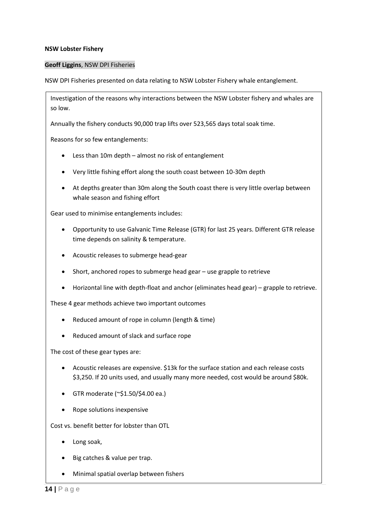#### **NSW Lobster Fishery**

#### **Geoff Liggins**, NSW DPI Fisheries

NSW DPI Fisheries presented on data relating to NSW Lobster Fishery whale entanglement.

Investigation of the reasons why interactions between the NSW Lobster fishery and whales are so low.

Annually the fishery conducts 90,000 trap lifts over 523,565 days total soak time.

Reasons for so few entanglements:

- Less than 10m depth almost no risk of entanglement
- Very little fishing effort along the south coast between 10-30m depth
- At depths greater than 30m along the South coast there is very little overlap between whale season and fishing effort

Gear used to minimise entanglements includes:

- Opportunity to use Galvanic Time Release (GTR) for last 25 years. Different GTR release time depends on salinity & temperature.
- Acoustic releases to submerge head-gear
- Short, anchored ropes to submerge head gear use grapple to retrieve
- Horizontal line with depth-float and anchor (eliminates head gear) grapple to retrieve.

These 4 gear methods achieve two important outcomes

- Reduced amount of rope in column (length & time)
- Reduced amount of slack and surface rope

The cost of these gear types are:

- Acoustic releases are expensive. \$13k for the surface station and each release costs \$3,250. If 20 units used, and usually many more needed, cost would be around \$80k.
- GTR moderate (~\$1.50/\$4.00 ea.)
- Rope solutions inexpensive

Cost vs. benefit better for lobster than OTL

- Long soak,
- Big catches & value per trap.
- Minimal spatial overlap between fishers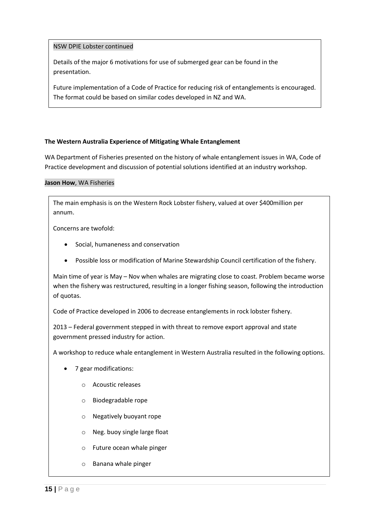#### NSW DPIE Lobster continued

Details of the major 6 motivations for use of submerged gear can be found in the presentation.

Future implementation of a Code of Practice for reducing risk of entanglements is encouraged. The format could be based on similar codes developed in NZ and WA.

#### **The Western Australia Experience of Mitigating Whale Entanglement**

WA Department of Fisheries presented on the history of whale entanglement issues in WA, Code of Practice development and discussion of potential solutions identified at an industry workshop.

#### **Jason How**, WA Fisheries

The main emphasis is on the Western Rock Lobster fishery, valued at over \$400million per annum.

Concerns are twofold:

- Social, humaneness and conservation
- Possible loss or modification of Marine Stewardship Council certification of the fishery.

Main time of year is May – Nov when whales are migrating close to coast. Problem became worse when the fishery was restructured, resulting in a longer fishing season, following the introduction of quotas.

Code of Practice developed in 2006 to decrease entanglements in rock lobster fishery.

2013 – Federal government stepped in with threat to remove export approval and state government pressed industry for action.

A workshop to reduce whale entanglement in Western Australia resulted in the following options.

- 7 gear modifications:
	- o Acoustic releases
	- o Biodegradable rope
	- o Negatively buoyant rope
	- o Neg. buoy single large float
	- o Future ocean whale pinger
	- o Banana whale pinger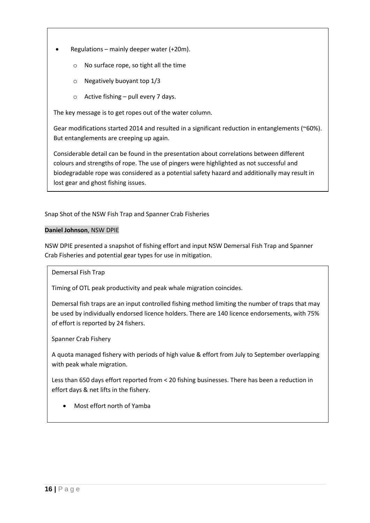- Regulations mainly deeper water (+20m).
	- o No surface rope, so tight all the time
	- o Negatively buoyant top 1/3
	- $\circ$  Active fishing pull every 7 days.

The key message is to get ropes out of the water column.

Gear modifications started 2014 and resulted in a significant reduction in entanglements (~60%). But entanglements are creeping up again.

Considerable detail can be found in the presentation about correlations between different colours and strengths of rope. The use of pingers were highlighted as not successful and biodegradable rope was considered as a potential safety hazard and additionally may result in lost gear and ghost fishing issues.

Snap Shot of the NSW Fish Trap and Spanner Crab Fisheries

#### **Daniel Johnson**, NSW DPIE

NSW DPIE presented a snapshot of fishing effort and input NSW Demersal Fish Trap and Spanner Crab Fisheries and potential gear types for use in mitigation.

Demersal Fish Trap

Timing of OTL peak productivity and peak whale migration coincides.

Demersal fish traps are an input controlled fishing method limiting the number of traps that may be used by individually endorsed licence holders. There are 140 licence endorsements, with 75% of effort is reported by 24 fishers.

Spanner Crab Fishery

A quota managed fishery with periods of high value & effort from July to September overlapping with peak whale migration.

Less than 650 days effort reported from < 20 fishing businesses. There has been a reduction in effort days & net lifts in the fishery.

Most effort north of Yamba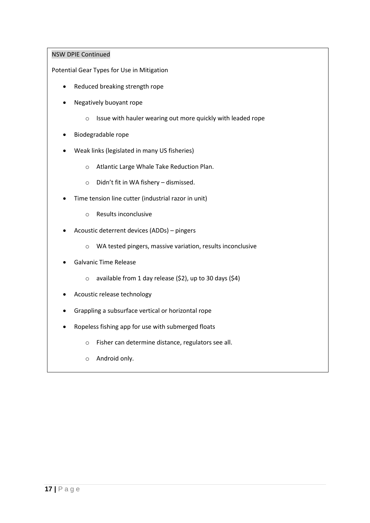#### NSW DPIE Continued

Potential Gear Types for Use in Mitigation

- Reduced breaking strength rope
- Negatively buoyant rope
	- o Issue with hauler wearing out more quickly with leaded rope
- Biodegradable rope
- Weak links (legislated in many US fisheries)
	- o Atlantic Large Whale Take Reduction Plan.
	- o Didn't fit in WA fishery dismissed.
- Time tension line cutter (industrial razor in unit)
	- o Results inconclusive
- Acoustic deterrent devices (ADDs) pingers
	- o WA tested pingers, massive variation, results inconclusive
- Galvanic Time Release
	- $\circ$  available from 1 day release (\$2), up to 30 days (\$4)
- Acoustic release technology
- Grappling a subsurface vertical or horizontal rope
- Ropeless fishing app for use with submerged floats
	- o Fisher can determine distance, regulators see all.

 $\mathcal{H}_{\mathcal{A}}$  is a day only pull half the number of traps in a day only pull half the number of traps in a day

o Android only.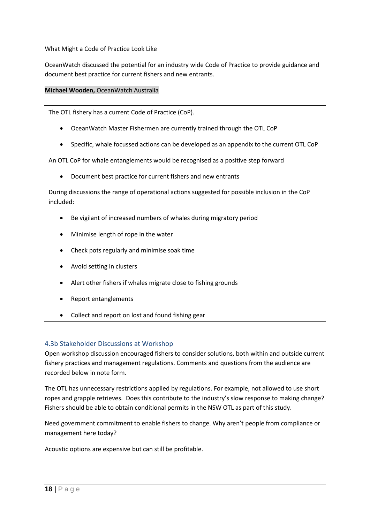What Might a Code of Practice Look Like

OceanWatch discussed the potential for an industry wide Code of Practice to provide guidance and document best practice for current fishers and new entrants.

#### **Michael Wooden,** OceanWatch Australia

The OTL fishery has a current Code of Practice (CoP).

- OceanWatch Master Fishermen are currently trained through the OTL CoP
- Specific, whale focussed actions can be developed as an appendix to the current OTL CoP

An OTL CoP for whale entanglements would be recognised as a positive step forward

Document best practice for current fishers and new entrants

During discussions the range of operational actions suggested for possible inclusion in the CoP included:

- Be vigilant of increased numbers of whales during migratory period
- Minimise length of rope in the water
- Check pots regularly and minimise soak time
- Avoid setting in clusters
- Alert other fishers if whales migrate close to fishing grounds
- Report entanglements
- Collect and report on lost and found fishing gear

#### <span id="page-17-0"></span>4.3b Stakeholder Discussions at Workshop

Open workshop discussion encouraged fishers to consider solutions, both within and outside current fishery practices and management regulations. Comments and questions from the audience are recorded below in note form.

The OTL has unnecessary restrictions applied by regulations. For example, not allowed to use short ropes and grapple retrieves. Does this contribute to the industry's slow response to making change? Fishers should be able to obtain conditional permits in the NSW OTL as part of this study.

Need government commitment to enable fishers to change. Why aren't people from compliance or management here today?

Acoustic options are expensive but can still be profitable.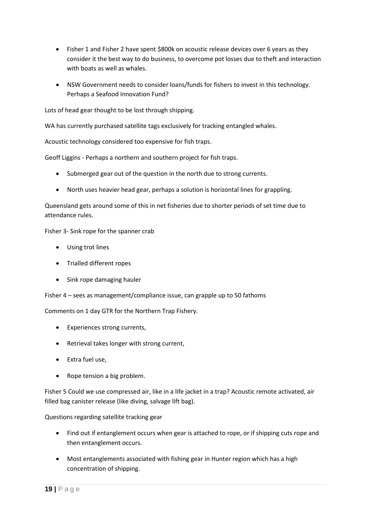- Fisher 1 and Fisher 2 have spent \$800k on acoustic release devices over 6 years as they consider it the best way to do business, to overcome pot losses due to theft and interaction with boats as well as whales.
- NSW Government needs to consider loans/funds for fishers to invest in this technology. Perhaps a Seafood Innovation Fund?

Lots of head gear thought to be lost through shipping.

WA has currently purchased satellite tags exclusively for tracking entangled whales.

Acoustic technology considered too expensive for fish traps.

Geoff Liggins - Perhaps a northern and southern project for fish traps.

- Submerged gear out of the question in the north due to strong currents.
- North uses heavier head gear, perhaps a solution is horizontal lines for grappling.

Queensland gets around some of this in net fisheries due to shorter periods of set time due to attendance rules.

Fisher 3- Sink rope for the spanner crab

- Using trot lines
- Trialled different ropes
- Sink rope damaging hauler

Fisher 4 – sees as management/compliance issue, can grapple up to 50 fathoms

Comments on 1 day GTR for the Northern Trap Fishery.

- Experiences strong currents,
- Retrieval takes longer with strong current,
- Extra fuel use,
- Rope tension a big problem.

Fisher 5 Could we use compressed air, like in a life jacket in a trap? Acoustic remote activated, air filled bag canister release (like diving, salvage lift bag).

Questions regarding satellite tracking gear

- Find out if entanglement occurs when gear is attached to rope, or if shipping cuts rope and then entanglement occurs.
- Most entanglements associated with fishing gear in Hunter region which has a high concentration of shipping.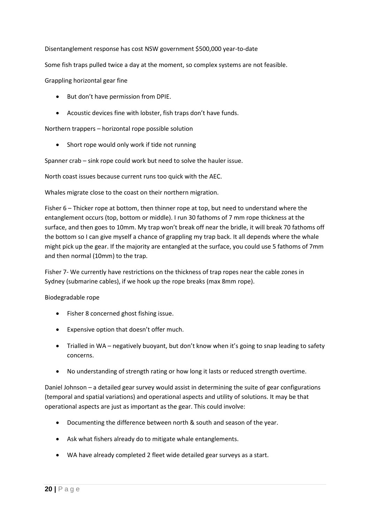Disentanglement response has cost NSW government \$500,000 year-to-date

Some fish traps pulled twice a day at the moment, so complex systems are not feasible.

Grappling horizontal gear fine

- But don't have permission from DPIE.
- Acoustic devices fine with lobster, fish traps don't have funds.

Northern trappers – horizontal rope possible solution

• Short rope would only work if tide not running

Spanner crab – sink rope could work but need to solve the hauler issue.

North coast issues because current runs too quick with the AEC.

Whales migrate close to the coast on their northern migration.

Fisher 6 – Thicker rope at bottom, then thinner rope at top, but need to understand where the entanglement occurs (top, bottom or middle). I run 30 fathoms of 7 mm rope thickness at the surface, and then goes to 10mm. My trap won't break off near the bridle, it will break 70 fathoms off the bottom so I can give myself a chance of grappling my trap back. It all depends where the whale might pick up the gear. If the majority are entangled at the surface, you could use 5 fathoms of 7mm and then normal (10mm) to the trap.

Fisher 7- We currently have restrictions on the thickness of trap ropes near the cable zones in Sydney (submarine cables), if we hook up the rope breaks (max 8mm rope).

Biodegradable rope

- Fisher 8 concerned ghost fishing issue.
- Expensive option that doesn't offer much.
- Trialled in WA negatively buoyant, but don't know when it's going to snap leading to safety concerns.
- No understanding of strength rating or how long it lasts or reduced strength overtime.

Daniel Johnson – a detailed gear survey would assist in determining the suite of gear configurations (temporal and spatial variations) and operational aspects and utility of solutions. It may be that operational aspects are just as important as the gear. This could involve:

- Documenting the difference between north & south and season of the year.
- Ask what fishers already do to mitigate whale entanglements.
- WA have already completed 2 fleet wide detailed gear surveys as a start.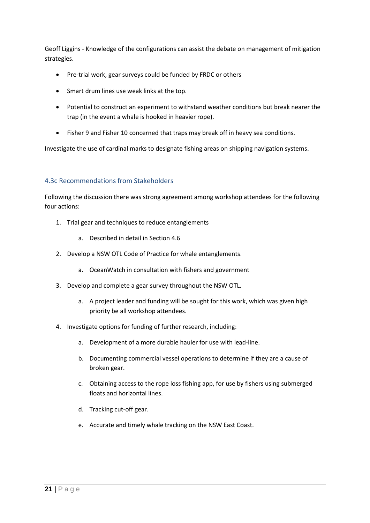Geoff Liggins - Knowledge of the configurations can assist the debate on management of mitigation strategies.

- Pre-trial work, gear surveys could be funded by FRDC or others
- Smart drum lines use weak links at the top.
- Potential to construct an experiment to withstand weather conditions but break nearer the trap (in the event a whale is hooked in heavier rope).
- Fisher 9 and Fisher 10 concerned that traps may break off in heavy sea conditions.

Investigate the use of cardinal marks to designate fishing areas on shipping navigation systems.

### <span id="page-20-0"></span>4.3c Recommendations from Stakeholders

Following the discussion there was strong agreement among workshop attendees for the following four actions:

- 1. Trial gear and techniques to reduce entanglements
	- a. Described in detail in Section 4.6
- 2. Develop a NSW OTL Code of Practice for whale entanglements.
	- a. OceanWatch in consultation with fishers and government
- 3. Develop and complete a gear survey throughout the NSW OTL.
	- a. A project leader and funding will be sought for this work, which was given high priority be all workshop attendees.
- 4. Investigate options for funding of further research, including:
	- a. Development of a more durable hauler for use with lead-line.
	- b. Documenting commercial vessel operations to determine if they are a cause of broken gear.
	- c. Obtaining access to the rope loss fishing app, for use by fishers using submerged floats and horizontal lines.
	- d. Tracking cut-off gear.
	- e. Accurate and timely whale tracking on the NSW East Coast.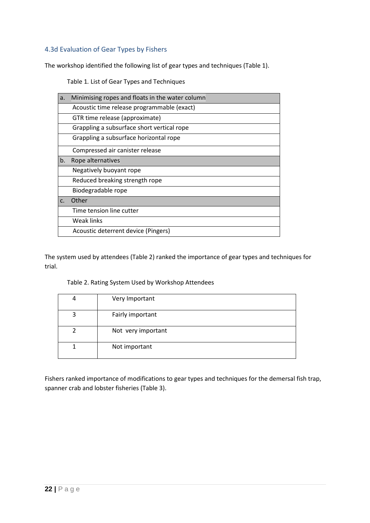# <span id="page-21-0"></span>4.3d Evaluation of Gear Types by Fishers

<span id="page-21-1"></span>The workshop identified the following list of gear types and techniques (Table 1).

Table 1*.* List of Gear Types and Techniques

| a. | Minimising ropes and floats in the water column |
|----|-------------------------------------------------|
|    | Acoustic time release programmable (exact)      |
|    | GTR time release (approximate)                  |
|    | Grappling a subsurface short vertical rope      |
|    | Grappling a subsurface horizontal rope          |
|    | Compressed air canister release                 |
| b. | Rope alternatives                               |
|    | Negatively buoyant rope                         |
|    | Reduced breaking strength rope                  |
|    | Biodegradable rope                              |
| C. | Other                                           |
|    | Time tension line cutter                        |
|    | Weak links                                      |
|    | Acoustic deterrent device (Pingers)             |

The system used by attendees (Table 2) ranked the importance of gear types and techniques for trial.

<span id="page-21-2"></span>

| 4 | Very Important     |
|---|--------------------|
| っ | Fairly important   |
|   | Not very important |
|   | Not important      |

#### Table 2. Rating System Used by Workshop Attendees

Fishers ranked importance of modifications to gear types and techniques for the demersal fish trap, spanner crab and lobster fisheries (Table 3).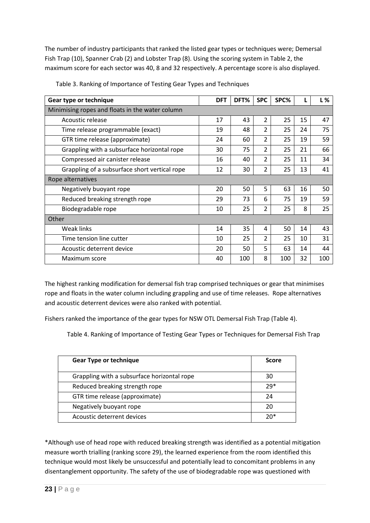The number of industry participants that ranked the listed gear types or techniques were; Demersal Fish Trap (10), Spanner Crab (2) and Lobster Trap (8). Using the scoring system in Table 2, the maximum score for each sector was 40, 8 and 32 respectively. A percentage score is also displayed.

| Gear type or technique                          | <b>DFT</b> | DFT% | <b>SPC</b>     | SPC% |    | L%  |
|-------------------------------------------------|------------|------|----------------|------|----|-----|
| Minimising ropes and floats in the water column |            |      |                |      |    |     |
| Acoustic release                                | 17         | 43   | 2              | 25   | 15 | 47  |
| Time release programmable (exact)               | 19         | 48   | 2              | 25   | 24 | 75  |
| GTR time release (approximate)                  | 24         | 60   | 2              | 25   | 19 | 59  |
| Grappling with a subsurface horizontal rope     | 30         | 75   | 2              | 25   | 21 | 66  |
| Compressed air canister release                 | 16         | 40   | 2              | 25   | 11 | 34  |
| Grappling of a subsurface short vertical rope   | 12         | 30   | 2              | 25   | 13 | 41  |
| Rope alternatives                               |            |      |                |      |    |     |
| Negatively buoyant rope                         | 20         | 50   | 5              | 63   | 16 | 50  |
| Reduced breaking strength rope                  | 29         | 73   | 6              | 75   | 19 | 59  |
| Biodegradable rope                              | 10         | 25   | 2              | 25   | 8  | 25  |
| Other                                           |            |      |                |      |    |     |
| Weak links                                      | 14         | 35   | 4              | 50   | 14 | 43  |
| Time tension line cutter                        | 10         | 25   | $\overline{2}$ | 25   | 10 | 31  |
| Acoustic deterrent device                       | 20         | 50   | 5              | 63   | 14 | 44  |
| Maximum score                                   | 40         | 100  | 8              | 100  | 32 | 100 |

<span id="page-22-0"></span>Table 3. Ranking of Importance of Testing Gear Types and Techniques

The highest ranking modification for demersal fish trap comprised techniques or gear that minimises rope and floats in the water column including grappling and use of time releases. Rope alternatives and acoustic deterrent devices were also ranked with potential.

Fishers ranked the importance of the gear types for NSW OTL Demersal Fish Trap (Table 4).

Table 4. Ranking of Importance of Testing Gear Types or Techniques for Demersal Fish Trap

| <b>Gear Type or technique</b>               | Score |
|---------------------------------------------|-------|
| Grappling with a subsurface horizontal rope | 30    |
| Reduced breaking strength rope              | $79*$ |
| GTR time release (approximate)              | 24    |
| Negatively buoyant rope                     | 20    |
| Acoustic deterrent devices                  | ንበ*   |

\*Although use of head rope with reduced breaking strength was identified as a potential mitigation measure worth trialling (ranking score 29), the learned experience from the room identified this technique would most likely be unsuccessful and potentially lead to concomitant problems in any disentanglement opportunity. The safety of the use of biodegradable rope was questioned with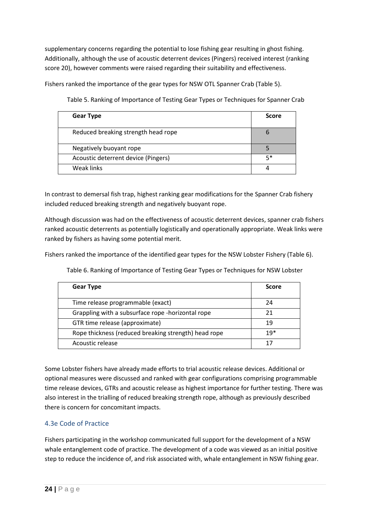supplementary concerns regarding the potential to lose fishing gear resulting in ghost fishing. Additionally, although the use of acoustic deterrent devices (Pingers) received interest (ranking score 20), however comments were raised regarding their suitability and effectiveness.

<span id="page-23-0"></span>Fishers ranked the importance of the gear types for NSW OTL Spanner Crab (Table 5).

**Gear Type Score** Reduced breaking strength head rope 6 Negatively buoyant rope 5 Acoustic deterrent device (Pingers) 6 1 1 2 3 3 Weak links 4

Table 5. Ranking of Importance of Testing Gear Types or Techniques for Spanner Crab

In contrast to demersal fish trap, highest ranking gear modifications for the Spanner Crab fishery included reduced breaking strength and negatively buoyant rope.

Although discussion was had on the effectiveness of acoustic deterrent devices, spanner crab fishers ranked acoustic deterrents as potentially logistically and operationally appropriate. Weak links were ranked by fishers as having some potential merit.

<span id="page-23-1"></span>Fishers ranked the importance of the identified gear types for the NSW Lobster Fishery (Table 6).

| <b>Gear Type</b>                                     | <b>Score</b> |
|------------------------------------------------------|--------------|
| Time release programmable (exact)                    | 24           |
| Grappling with a subsurface rope -horizontal rope    | 21           |
| GTR time release (approximate)                       | 19           |
| Rope thickness (reduced breaking strength) head rope | $19*$        |
| Acoustic release                                     |              |

Table 6. Ranking of Importance of Testing Gear Types or Techniques for NSW Lobster

Some Lobster fishers have already made efforts to trial acoustic release devices. Additional or optional measures were discussed and ranked with gear configurations comprising programmable time release devices, GTRs and acoustic release as highest importance for further testing. There was also interest in the trialling of reduced breaking strength rope, although as previously described there is concern for concomitant impacts.

## <span id="page-23-2"></span>4.3e Code of Practice

Fishers participating in the workshop communicated full support for the development of a NSW whale entanglement code of practice. The development of a code was viewed as an initial positive step to reduce the incidence of, and risk associated with, whale entanglement in NSW fishing gear.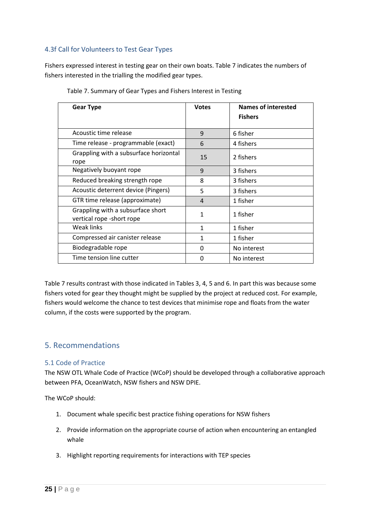# <span id="page-24-0"></span>4.3f Call for Volunteers to Test Gear Types

Fishers expressed interest in testing gear on their own boats. Table 7 indicates the numbers of fishers interested in the trialling the modified gear types.

<span id="page-24-1"></span>

| <b>Votes</b> | <b>Names of interested</b><br><b>Fishers</b> |
|--------------|----------------------------------------------|
| 9            | 6 fisher                                     |
| 6            | 4 fishers                                    |
| 15           | 2 fishers                                    |
| 9            | 3 fishers                                    |
| 8            | 3 fishers                                    |
| 5            | 3 fishers                                    |
| 4            | 1 fisher                                     |
| 1            | 1 fisher                                     |
| 1            | 1 fisher                                     |
| 1            | 1 fisher                                     |
| 0            | No interest                                  |
| 0            | No interest                                  |
|              |                                              |

|  |  | Table 7. Summary of Gear Types and Fishers Interest in Testing |  |
|--|--|----------------------------------------------------------------|--|
|  |  |                                                                |  |

Table 7 results contrast with those indicated in Tables 3, 4, 5 and 6. In part this was because some fishers voted for gear they thought might be supplied by the project at reduced cost. For example, fishers would welcome the chance to test devices that minimise rope and floats from the water column, if the costs were supported by the program.

# <span id="page-24-2"></span>5. Recommendations

#### <span id="page-24-3"></span>5.1 Code of Practice

The NSW OTL Whale Code of Practice (WCoP) should be developed through a collaborative approach between PFA, OceanWatch, NSW fishers and NSW DPIE.

The WCoP should:

- 1. Document whale specific best practice fishing operations for NSW fishers
- 2. Provide information on the appropriate course of action when encountering an entangled whale
- 3. Highlight reporting requirements for interactions with TEP species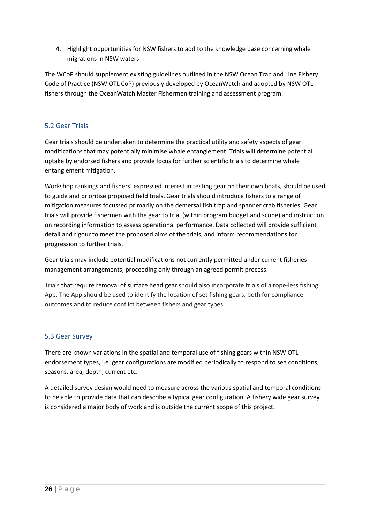4. Highlight opportunities for NSW fishers to add to the knowledge base concerning whale migrations in NSW waters

The WCoP should supplement existing guidelines outlined in the NSW Ocean Trap and Line Fishery Code of Practice (NSW OTL CoP) previously developed by OceanWatch and adopted by NSW OTL fishers through the OceanWatch Master Fishermen training and assessment program.

# <span id="page-25-0"></span>5.2 Gear Trials

Gear trials should be undertaken to determine the practical utility and safety aspects of gear modifications that may potentially minimise whale entanglement. Trials will determine potential uptake by endorsed fishers and provide focus for further scientific trials to determine whale entanglement mitigation.

Workshop rankings and fishers' expressed interest in testing gear on their own boats, should be used to guide and prioritise proposed field trials. Gear trials should introduce fishers to a range of mitigation measures focussed primarily on the demersal fish trap and spanner crab fisheries. Gear trials will provide fishermen with the gear to trial (within program budget and scope) and instruction on recording information to assess operational performance. Data collected will provide sufficient detail and rigour to meet the proposed aims of the trials, and inform recommendations for progression to further trials.

Gear trials may include potential modifications not currently permitted under current fisheries management arrangements, proceeding only through an agreed permit process.

Trials that require removal of surface head gear should also incorporate trials of a rope-less fishing App. The App should be used to identify the location of set fishing gears, both for compliance outcomes and to reduce conflict between fishers and gear types.

## <span id="page-25-1"></span>5.3 Gear Survey

There are known variations in the spatial and temporal use of fishing gears within NSW OTL endorsement types, i.e. gear configurations are modified periodically to respond to sea conditions, seasons, area, depth, current etc.

A detailed survey design would need to measure across the various spatial and temporal conditions to be able to provide data that can describe a typical gear configuration. A fishery wide gear survey is considered a major body of work and is outside the current scope of this project.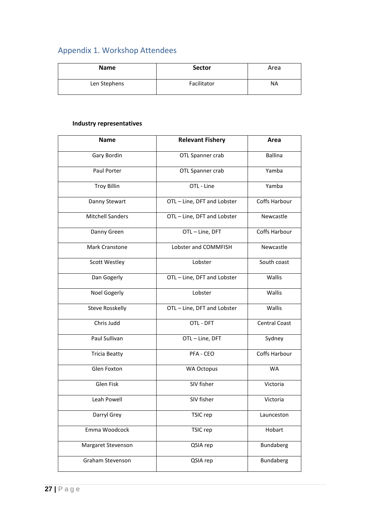# <span id="page-26-0"></span>Appendix 1. Workshop Attendees

| <b>Name</b>  | <b>Sector</b> | Area      |
|--------------|---------------|-----------|
| Len Stephens | Facilitator   | <b>NA</b> |

# **Industry representatives**

| <b>Name</b>             | <b>Relevant Fishery</b>     | Area                 |
|-------------------------|-----------------------------|----------------------|
| Gary Bordin             | OTL Spanner crab            | <b>Ballina</b>       |
| Paul Porter             | OTL Spanner crab            | Yamba                |
| <b>Troy Billin</b>      | OTL - Line                  | Yamba                |
| Danny Stewart           | OTL - Line, DFT and Lobster | Coffs Harbour        |
| <b>Mitchell Sanders</b> | OTL-Line, DFT and Lobster   | Newcastle            |
| Danny Green             | OTL-Line, DFT               | <b>Coffs Harbour</b> |
| <b>Mark Cranstone</b>   | Lobster and COMMFISH        | Newcastle            |
| <b>Scott Westley</b>    | Lobster                     | South coast          |
| Dan Gogerly             | OTL - Line, DFT and Lobster | Wallis               |
| <b>Noel Gogerly</b>     | Lobster                     | Wallis               |
| <b>Steve Rosskelly</b>  | OTL - Line, DFT and Lobster | Wallis               |
| Chris Judd              | OTL - DFT                   | <b>Central Coast</b> |
| Paul Sullivan           | OTL-Line, DFT               | Sydney               |
| <b>Tricia Beatty</b>    | PFA - CEO                   | Coffs Harbour        |
| Glen Foxton             | <b>WA Octopus</b>           | <b>WA</b>            |
| Glen Fisk               | SIV fisher                  | Victoria             |
| Leah Powell             | SIV fisher                  | Victoria             |
| Darryl Grey             | TSIC rep                    | Launceston           |
| Emma Woodcock           | TSIC rep                    | Hobart               |
| Margaret Stevenson      | QSIA rep                    | Bundaberg            |
| Graham Stevenson        | QSIA rep                    | Bundaberg            |